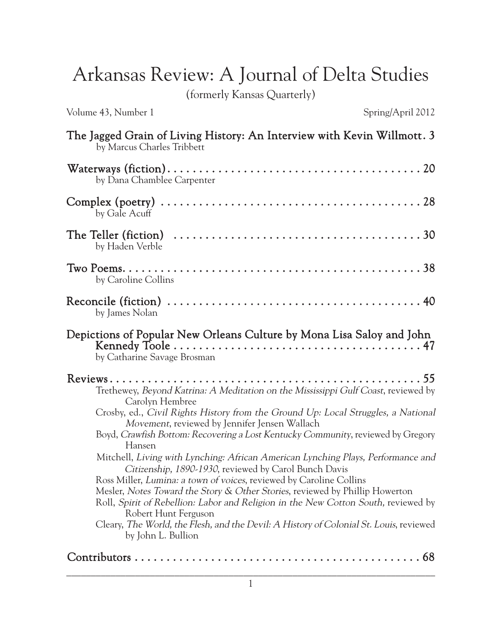## Arkansas Review: A Journal of Delta Studies

(formerly Kansas Quarterly)

Volume 43, Number 1 Spring/April 2012

| The Jagged Grain of Living History: An Interview with Kevin Willmott. 3<br>by Marcus Charles Tribbett                                                                                                                                                                                                                                                                                                                                                                                                                                                                                                                                                                                                                                                                                                                                                                       |
|-----------------------------------------------------------------------------------------------------------------------------------------------------------------------------------------------------------------------------------------------------------------------------------------------------------------------------------------------------------------------------------------------------------------------------------------------------------------------------------------------------------------------------------------------------------------------------------------------------------------------------------------------------------------------------------------------------------------------------------------------------------------------------------------------------------------------------------------------------------------------------|
| by Dana Chamblee Carpenter                                                                                                                                                                                                                                                                                                                                                                                                                                                                                                                                                                                                                                                                                                                                                                                                                                                  |
| by Gale Acuff                                                                                                                                                                                                                                                                                                                                                                                                                                                                                                                                                                                                                                                                                                                                                                                                                                                               |
| The Teller (fiction) $\ldots \ldots \ldots \ldots \ldots \ldots \ldots \ldots \ldots \ldots \ldots \ldots \ldots 30$<br>by Haden Verble                                                                                                                                                                                                                                                                                                                                                                                                                                                                                                                                                                                                                                                                                                                                     |
| by Caroline Collins                                                                                                                                                                                                                                                                                                                                                                                                                                                                                                                                                                                                                                                                                                                                                                                                                                                         |
| by James Nolan                                                                                                                                                                                                                                                                                                                                                                                                                                                                                                                                                                                                                                                                                                                                                                                                                                                              |
| Depictions of Popular New Orleans Culture by Mona Lisa Saloy and John<br>by Catharine Savage Brosman                                                                                                                                                                                                                                                                                                                                                                                                                                                                                                                                                                                                                                                                                                                                                                        |
| Trethewey, Beyond Katrina: A Meditation on the Mississippi Gulf Coast, reviewed by<br>Carolyn Hembree<br>Crosby, ed., Civil Rights History from the Ground Up: Local Struggles, a National<br>Movement, reviewed by Jennifer Jensen Wallach<br>Boyd, Crawfish Bottom: Recovering a Lost Kentucky Community, reviewed by Gregory<br>Hansen<br>Mitchell, Living with Lynching: African American Lynching Plays, Performance and<br>Citizenship, 1890-1930, reviewed by Carol Bunch Davis<br>Ross Miller, Lumina: a town of voices, reviewed by Caroline Collins<br>Mesler, Notes Toward the Story & Other Stories, reviewed by Phillip Howerton<br>Roll, Spirit of Rebellion: Labor and Religion in the New Cotton South, reviewed by<br>Robert Hunt Ferguson<br>Cleary, The World, the Flesh, and the Devil: A History of Colonial St. Louis, reviewed<br>by John L. Bullion |
| 68                                                                                                                                                                                                                                                                                                                                                                                                                                                                                                                                                                                                                                                                                                                                                                                                                                                                          |